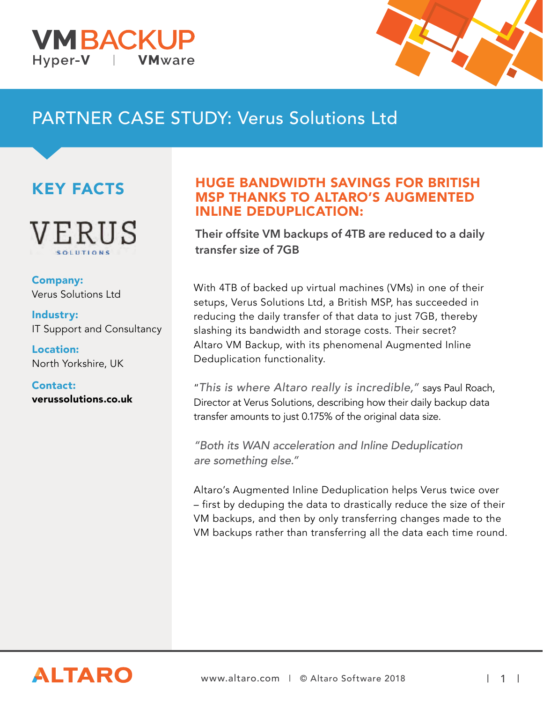



# PARTNER CASE STUDY: Verus Solutions Ltd

## KEY FACTS



Company: Verus Solutions Ltd

Industry: IT Support and Consultancy

Location: North Yorkshire, UK

Contact: verussolutions.co.uk

### HUGE BANDWIDTH SAVINGS FOR BRITISH MSP THANKS TO ALTARO'S AUGMENTED INLINE DEDUPLICATION:

Their offsite VM backups of 4TB are reduced to a daily transfer size of 7GB

With 4TB of backed up virtual machines (VMs) in one of their setups, Verus Solutions Ltd, a British MSP, has succeeded in reducing the daily transfer of that data to just 7GB, thereby slashing its bandwidth and storage costs. Their secret? Altaro VM Backup, with its phenomenal Augmented Inline Deduplication functionality.

"This is where Altaro really is incredible," says Paul Roach, Director at Verus Solutions, describing how their daily backup data transfer amounts to just 0.175% of the original data size.

"Both its WAN acceleration and Inline Deduplication are something else."

Altaro's Augmented Inline Deduplication helps Verus twice over – first by deduping the data to drastically reduce the size of their VM backups, and then by only transferring changes made to the VM backups rather than transferring all the data each time round.

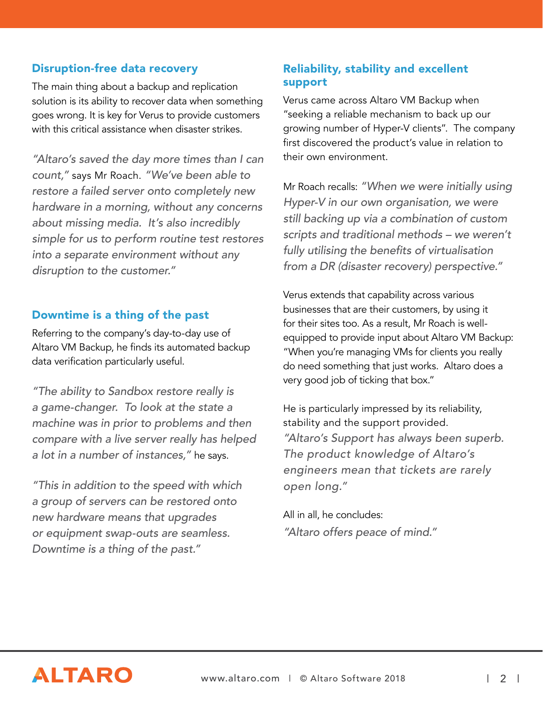#### Disruption-free data recovery

The main thing about a backup and replication solution is its ability to recover data when something goes wrong. It is key for Verus to provide customers with this critical assistance when disaster strikes.

"Altaro's saved the day more times than I can count," says Mr Roach. "We've been able to restore a failed server onto completely new hardware in a morning, without any concerns about missing media. It's also incredibly simple for us to perform routine test restores into a separate environment without any disruption to the customer."

#### Downtime is a thing of the past

Referring to the company's day-to-day use of Altaro VM Backup, he finds its automated backup data verification particularly useful.

"The ability to Sandbox restore really is a game-changer. To look at the state a machine was in prior to problems and then compare with a live server really has helped a lot in a number of instances," he says.

"This in addition to the speed with which a group of servers can be restored onto new hardware means that upgrades or equipment swap-outs are seamless. Downtime is a thing of the past."

#### Reliability, stability and excellent support

Verus came across Altaro VM Backup when "seeking a reliable mechanism to back up our growing number of Hyper-V clients". The company first discovered the product's value in relation to their own environment.

Mr Roach recalls: "When we were initially using Hyper-V in our own organisation, we were still backing up via a combination of custom scripts and traditional methods – we weren't fully utilising the benefits of virtualisation from a DR (disaster recovery) perspective."

Verus extends that capability across various businesses that are their customers, by using it for their sites too. As a result, Mr Roach is wellequipped to provide input about Altaro VM Backup: "When you're managing VMs for clients you really do need something that just works. Altaro does a very good job of ticking that box."

He is particularly impressed by its reliability, stability and the support provided. "Altaro's Support has always been superb. The product knowledge of Altaro's engineers mean that tickets are rarely open long."

All in all, he concludes: "Altaro offers peace of mind."